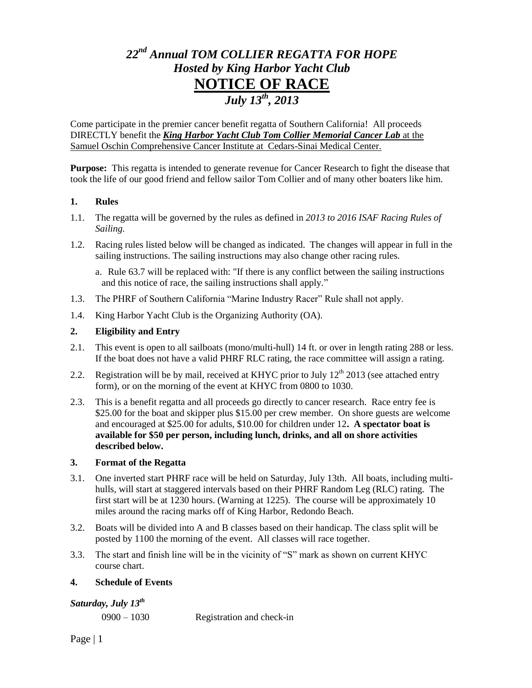# *22nd Annual TOM COLLIER REGATTA FOR HOPE Hosted by King Harbor Yacht Club* **NOTICE OF RACE** *July 13 th, 2013*

Come participate in the premier cancer benefit regatta of Southern California! All proceeds DIRECTLY benefit the *King Harbor Yacht Club Tom Collier Memorial Cancer Lab* at the Samuel Oschin Comprehensive Cancer Institute at Cedars-Sinai Medical Center.

**Purpose:** This regatta is intended to generate revenue for Cancer Research to fight the disease that took the life of our good friend and fellow sailor Tom Collier and of many other boaters like him.

# **1. Rules**

- 1.1. The regatta will be governed by the rules as defined in *2013 to 2016 ISAF Racing Rules of Sailing.*
- 1.2. Racing rules listed below will be changed as indicated. The changes will appear in full in the sailing instructions. The sailing instructions may also change other racing rules.
	- a. Rule 63.7 will be replaced with: "If there is any conflict between the sailing instructions and this notice of race, the sailing instructions shall apply."
- 1.3. The PHRF of Southern California "Marine Industry Racer" Rule shall not apply.
- 1.4. King Harbor Yacht Club is the Organizing Authority (OA).

# **2. Eligibility and Entry**

- 2.1. This event is open to all sailboats (mono/multi-hull) 14 ft. or over in length rating 288 or less. If the boat does not have a valid PHRF RLC rating, the race committee will assign a rating.
- 2.2. Registration will be by mail, received at KHYC prior to July  $12<sup>th</sup>$  2013 (see attached entry form), or on the morning of the event at KHYC from 0800 to 1030.
- 2.3. This is a benefit regatta and all proceeds go directly to cancer research. Race entry fee is \$25.00 for the boat and skipper plus \$15.00 per crew member. On shore guests are welcome and encouraged at \$25.00 for adults, \$10.00 for children under 12**. A spectator boat is available for \$50 per person, including lunch, drinks, and all on shore activities described below.**

# **3. Format of the Regatta**

- 3.1. One inverted start PHRF race will be held on Saturday, July 13th. All boats, including multihulls, will start at staggered intervals based on their PHRF Random Leg (RLC) rating. The first start will be at 1230 hours. (Warning at 1225). The course will be approximately 10 miles around the racing marks off of King Harbor, Redondo Beach.
- 3.2. Boats will be divided into A and B classes based on their handicap. The class split will be posted by 1100 the morning of the event. All classes will race together.
- 3.3. The start and finish line will be in the vicinity of "S" mark as shown on current KHYC course chart.

# **4. Schedule of Events**

# *Saturday, July 13 th*

0900 – 1030 Registration and check-in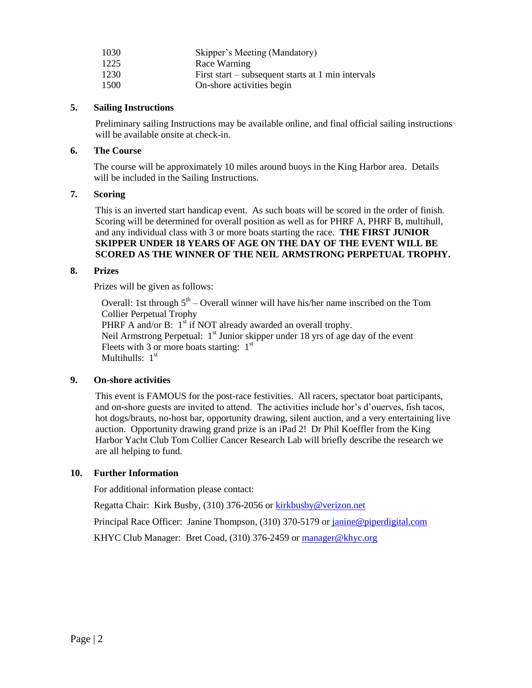| 1030 | Skipper's Meeting (Mandatory)                      |
|------|----------------------------------------------------|
| 1225 | Race Warning                                       |
| 1230 | First start – subsequent starts at 1 min intervals |
| 1500 | On-shore activities begin                          |

# **5. Sailing Instructions**

Preliminary sailing Instructions may be available online, and final official sailing instructions will be available onsite at check-in.

#### **6. The Course**

The course will be approximately 10 miles around buoys in the King Harbor area. Details will be included in the Sailing Instructions.

#### **7. Scoring**

This is an inverted start handicap event. As such boats will be scored in the order of finish. Scoring will be determined for overall position as well as for PHRF A, PHRF B, multihull, and any individual class with 3 or more boats starting the race. **THE FIRST JUNIOR SKIPPER UNDER 18 YEARS OF AGE ON THE DAY OF THE EVENT WILL BE SCORED AS THE WINNER OF THE NEIL ARMSTRONG PERPETUAL TROPHY.**

# **8. Prizes**

Prizes will be given as follows:

Overall: 1st through  $5<sup>th</sup>$  – Overall winner will have his/her name inscribed on the Tom Collier Perpetual Trophy PHRF A and/or B:  $1<sup>st</sup>$  if NOT already awarded an overall trophy. Neil Armstrong Perpetual:  $1<sup>st</sup>$  Junior skipper under 18 yrs of age day of the event Fleets with 3 or more boats starting:  $1<sup>st</sup>$ Multihulls: 1st

# **9. On-shore activities**

This event is FAMOUS for the post-race festivities. All racers, spectator boat participants, and on-shore guests are invited to attend. The activities include hor's d'ouerves, fish tacos, hot dogs/brauts, no-host bar, opportunity drawing, silent auction, and a very entertaining live auction. Opportunity drawing grand prize is an iPad 2! Dr Phil Koeffler from the King Harbor Yacht Club Tom Collier Cancer Research Lab will briefly describe the research we are all helping to fund.

# **10. Further Information**

For additional information please contact:

Regatta Chair: Kirk Busby, (310) 376-2056 or **kirkbusby@verizon.net** 

Principal Race Officer: Janine Thompson, (310) 370-5179 or [janine@piperdigital.com](mailto:janine@piperdigital.com)

KHYC Club Manager: Bret Coad, (310) 376-2459 or [manager@khyc.org](mailto:manager@khyc.org)